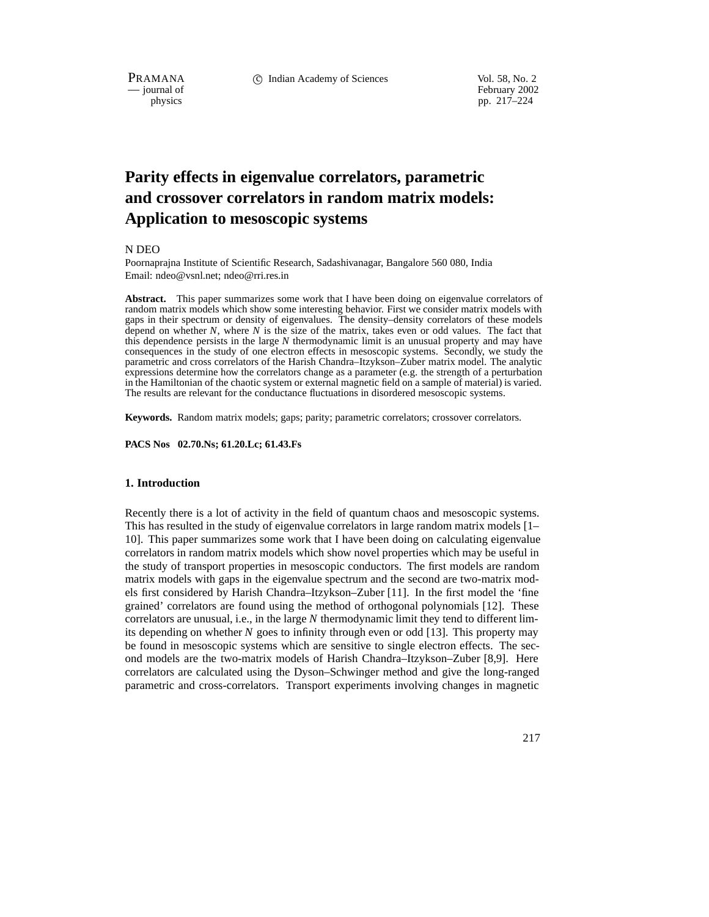PRAMANA c Indian Academy of Sciences Vol. 58, No. 2

physics<br>
pp. 217–224<br>
pp. 217–224 pp. 217–224

# **Parity effects in eigenvalue correlators, parametric and crossover correlators in random matrix models: Application to mesoscopic systems**

#### N DEO

Poornaprajna Institute of Scientific Research, Sadashivanagar, Bangalore 560 080, India Email: ndeo@vsnl.net; ndeo@rri.res.in

Abstract. This paper summarizes some work that I have been doing on eigenvalue correlators of random matrix models which show some interesting behavior. First we consider matrix models with gaps in their spectrum or density of eigenvalues. The density–density correlators of these models depend on whether *N*, where *N* is the size of the matrix, takes even or odd values. The fact that this dependence persists in the large *N* thermodynamic limit is an unusual property and may have consequences in the study of one electron effects in mesoscopic systems. Secondly, we study the parametric and cross correlators of the Harish Chandra–Itzykson–Zuber matrix model. The analytic expressions determine how the correlators change as a parameter (e.g. the strength of a perturbation in the Hamiltonian of the chaotic system or external magnetic field on a sample of material) is varied. The results are relevant for the conductance fluctuations in disordered mesoscopic systems.

**Keywords.** Random matrix models; gaps; parity; parametric correlators; crossover correlators.

**PACS Nos 02.70.Ns; 61.20.Lc; 61.43.Fs**

#### **1. Introduction**

Recently there is a lot of activity in the field of quantum chaos and mesoscopic systems. This has resulted in the study of eigenvalue correlators in large random matrix models [1– 10]. This paper summarizes some work that I have been doing on calculating eigenvalue correlators in random matrix models which show novel properties which may be useful in the study of transport properties in mesoscopic conductors. The first models are random matrix models with gaps in the eigenvalue spectrum and the second are two-matrix models first considered by Harish Chandra–Itzykson–Zuber [11]. In the first model the 'fine grained' correlators are found using the method of orthogonal polynomials [12]. These correlators are unusual, i.e., in the large *N* thermodynamic limit they tend to different limits depending on whether *N* goes to infinity through even or odd [13]. This property may be found in mesoscopic systems which are sensitive to single electron effects. The second models are the two-matrix models of Harish Chandra–Itzykson–Zuber [8,9]. Here correlators are calculated using the Dyson–Schwinger method and give the long-ranged parametric and cross-correlators. Transport experiments involving changes in magnetic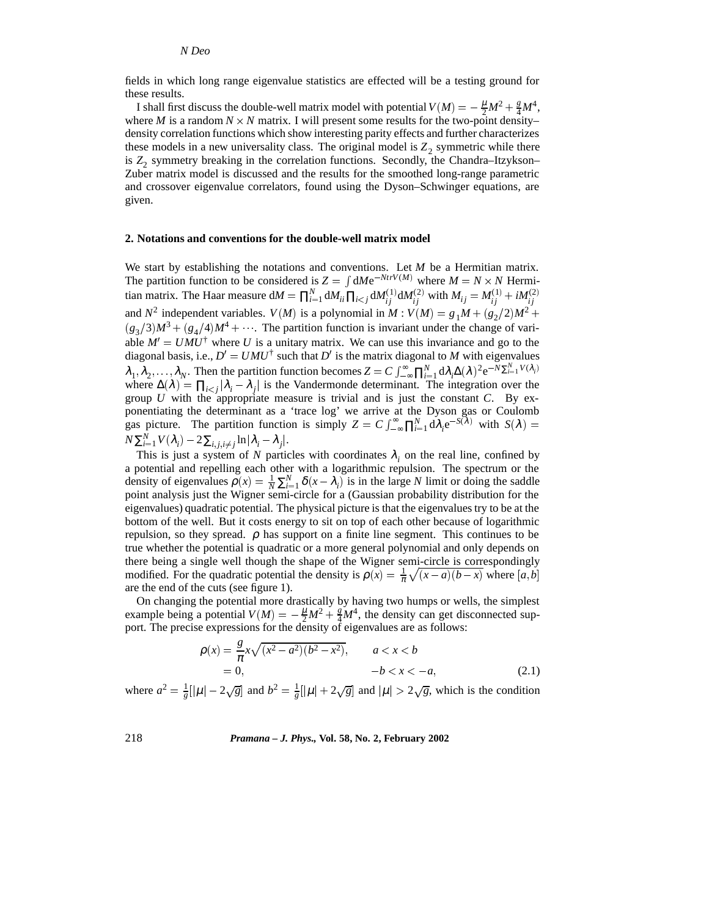fields in which long range eigenvalue statistics are effected will be a testing ground for these results.

I shall first discuss the double-well matrix model with potential  $V(M) = -\frac{\mu}{2}M^2 + \frac{g}{4}M^4$ , where *M* is a random  $N \times N$  matrix. I will present some results for the two-point density– density correlation functions which show interesting parity effects and further characterizes these models in a new universality class. The original model is  $Z_2$  symmetric while there is  $Z_2$  symmetry breaking in the correlation functions. Secondly, the Chandra–Itzykson– Zuber matrix model is discussed and the results for the smoothed long-range parametric and crossover eigenvalue correlators, found using the Dyson–Schwinger equations, are given.

#### **2. Notations and conventions for the double-well matrix model**

We start by establishing the notations and conventions. Let *M* be a Hermitian matrix. The partition function to be considered is  $Z = \int dM e^{-NtrV(M)}$  where  $M = N \times N$  Hermitian matrix. The Haar measure d $M = \prod_{i=1}^{N} dM_{ii} \prod_{i < j} dM_{ij}^{(1)} dM_{ij}^{(2)}$  with  $M_{ij} = M_{ij}^{(1)} + iM_{ij}^{(2)}$ and  $N^2$  independent variables.  $V(M)$  is a polynomial in  $M: V(M) = g_1 M + (g_2/2)M^2 +$  $(g_3/3)M^3 + (g_4/4)M^4 + \cdots$ . The partition function is invariant under the change of variable  $M' = U M U^{\dagger}$  where *U* is a unitary matrix. We can use this invariance and go to the diagonal basis, i.e.,  $D' = U M U^{\dagger}$  such that  $D'$  is the matrix diagonal to *M* with eigenvalues  $\lambda_1, \lambda_2, \ldots, \lambda_N$ . Then the partition function becomes  $Z = C \int_{-\infty}^{\infty} \prod_{i=1}^{N} d\lambda_i \Delta(\lambda)^2 e^{-N \sum_{i=1}^{N} V(\lambda_i)}$ where  $\Delta(\lambda) = \prod_{i \le j} |\lambda_i - \lambda_j|$  is the Vandermonde determinant. The integration over the group *U* with the appropriate measure is trivial and is just the constant *C*. By exponentiating the determinant as a 'trace log' we arrive at the Dyson gas or Coulomb gas picture. The partition function is simply  $Z = C \int_{-\infty}^{\infty} \prod_{i=1}^{N} d\lambda_i e^{-S(\lambda)}$  with  $S(\lambda) =$  $N\sum_{i=1}^N V(\lambda_i) - 2\sum_{i,j,i\neq j}\ln |\lambda_i - \lambda_j|.$ 

This is just a system of *N* particles with coordinates  $\lambda_i$  on the real line, confined by a potential and repelling each other with a logarithmic repulsion. The spectrum or the density of eigenvalues  $\rho(x) = \frac{1}{N} \sum_{i=1}^{N} \delta(x - \lambda_i)$  is in the large *N* limit or doing the saddle point analysis just the Wigner semi-circle for a (Gaussian probability distribution for the eigenvalues) quadratic potential. The physical picture is that the eigenvalues try to be at the bottom of the well. But it costs energy to sit on top of each other because of logarithmic repulsion, so they spread.  $\rho$  has support on a finite line segment. This continues to be true whether the potential is quadratic or a more general polynomial and only depends on there being a single well though the shape of the Wigner semi-circle is correspondingly modified. For the quadratic potential the density is  $\rho(x) = \frac{1}{\pi} \sqrt{(x-a)(b-x)}$  where [a, b] are the end of the cuts (see figure 1).

On changing the potential more drastically by having two humps or wells, the simplest example being a potential  $V(M) = -\frac{\mu}{2}M^2 + \frac{g}{4}M^4$ , the density can get disconnected support. The precise expressions for the density of eigenvalues are as follows:

$$
\rho(x) = \frac{g}{\pi} x \sqrt{(x^2 - a^2)(b^2 - x^2)}, \qquad a < x < b
$$
  
= 0, \qquad -b < x < -a, (2.1)

where  $a^2 = \frac{1}{g} [|\mu| - 2\sqrt{g}]$  and  $b^2 = \frac{1}{g} [|\mu| + 2\sqrt{g}]$  and  $|\mu| > 2\sqrt{g}$ , which is the condition

# 218 *Pramana – J. Phys.,* **Vol. 58, No. 2, February 2002**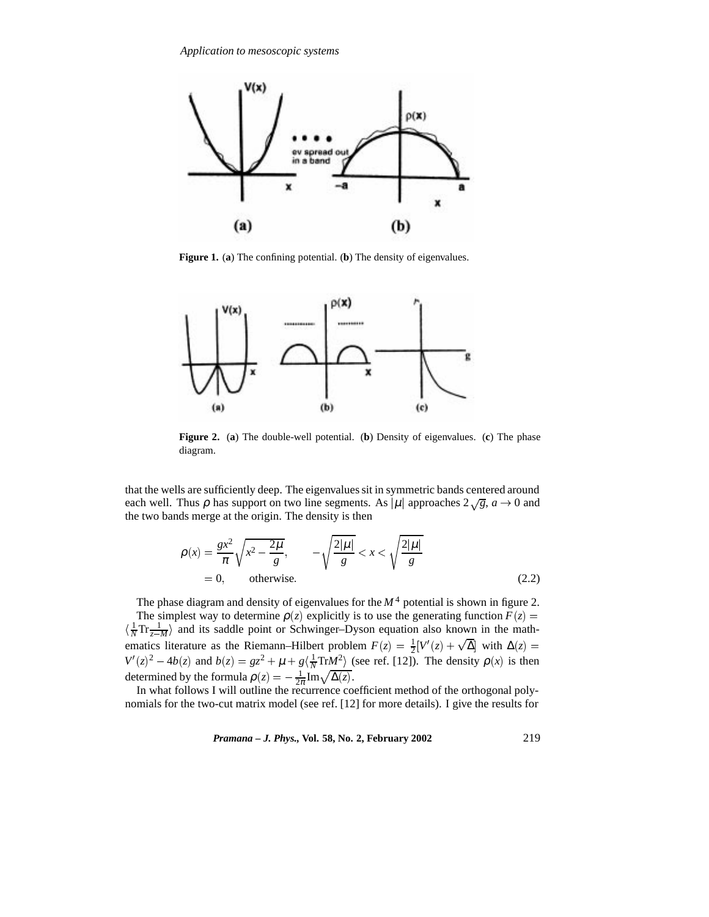

**Figure 1.** (**a**) The confining potential. (**b**) The density of eigenvalues.



**Figure 2.** (**a**) The double-well potential. (**b**) Density of eigenvalues. (**c**) The phase diagram.

that the wells are sufficiently deep. The eigenvalues sit in symmetric bands centered around each well. Thus  $\rho$  has support on two line segments. As | $\mu$ | approaches  $2\sqrt{g}$ ,  $a \to 0$  and the two bands merge at the origin. The density is then

$$
\rho(x) = \frac{gx^2}{\pi} \sqrt{x^2 - \frac{2\mu}{g}}, \qquad -\sqrt{\frac{2|\mu|}{g}} < x < \sqrt{\frac{2|\mu|}{g}}
$$
  
= 0, otherwise. (2.2)

The phase diagram and density of eigenvalues for the  $M<sup>4</sup>$  potential is shown in figure 2. The simplest way to determine  $\rho(z)$  explicitly is to use the generating function  $F(z)$  =  $\left\langle \frac{1}{N} \text{Tr} \frac{1}{z-M} \right\rangle$  and its saddle point or Schwinger–Dyson equation also known in the mathematics literature as the Riemann–Hilbert problem  $F(z) = \frac{1}{2} [V'(z) + \sqrt{\Delta}]$  with  $\Delta(z) =$  $V'(z)^2 - 4b(z)$  and  $b(z) = gz^2 + \mu + g\langle \frac{1}{N} \text{Tr} M^2 \rangle$  (see ref. [12]). The density  $\rho(x)$  is then determined by the formula  $\rho(z) = -\frac{1}{2\pi} \text{Im} \sqrt{\Delta(z)}$ .

In what follows I will outline the recurrence coefficient method of the orthogonal polynomials for the two-cut matrix model (see ref. [12] for more details). I give the results for

*Pramana – J. Phys.,* **Vol. 58, No. 2, February 2002** 219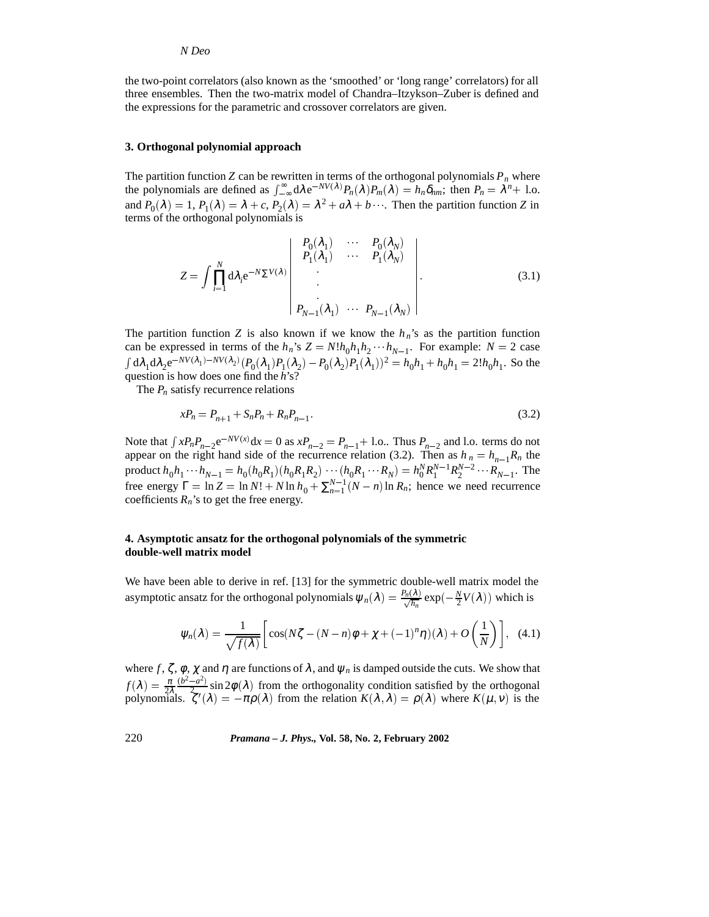the two-point correlators (also known as the 'smoothed' or 'long range' correlators) for all three ensembles. Then the two-matrix model of Chandra–Itzykson–Zuber is defined and the expressions for the parametric and crossover correlators are given.

#### **3. Orthogonal polynomial approach**

The partition function *Z* can be rewritten in terms of the orthogonal polynomials  $P_n$  where the polynomials are defined as  $\int_{-\infty}^{\infty} d\lambda e^{-NV(\lambda)} P_n(\lambda) P_m(\lambda) = h_n \delta_{nm}$ ; then  $P_n = \lambda^n + 1$ .o. and  $P_0(\lambda) = 1$ ,  $P_1(\lambda) = \lambda + c$ ,  $P_2(\lambda) = \lambda^2 + a\lambda + b$ . Then the partition function *Z* in terms of the orthogonal polynomials is

$$
Z = \int \prod_{i=1}^{N} d\lambda_i e^{-N \sum V(\lambda)} \begin{vmatrix} P_0(\lambda_1) & \cdots & P_0(\lambda_N) \\ P_1(\lambda_1) & \cdots & P_1(\lambda_N) \\ \vdots & \vdots & \ddots \\ P_{N-1}(\lambda_1) & \cdots & P_{N-1}(\lambda_N) \end{vmatrix}
$$
(3.1)

The partition function *Z* is also known if we know the  $h_n$ 's as the partition function can be expressed in terms of the  $h_n$ 's  $Z = N! h_0 h_1 h_2 \cdots h_{N-1}$ . For example:  $N = 2$  case  $\int d\lambda_1 d\lambda_2 e^{-NV(\lambda_1)-NV(\lambda_2)} (P_0(\lambda_1)P_1(\lambda_2) - P_0(\lambda_2)P_1(\lambda_1))^2 = h_0h_1 + h_0h_1 = 2!h_0h_1.$  So the question is how does one find the *h*'s?

The  $P_n$  satisfy recurrence relations

$$
xP_n = P_{n+1} + S_n P_n + R_n P_{n-1}.
$$
\n(3.2)

Note that  $\int xP_nP_{n-2}e^{-NV(x)}dx = 0$  as  $xP_{n-2} = P_{n-1} + 1$ .o.. Thus  $P_{n-2}$  and 1.o. terms do not appear on the right hand side of the recurrence relation (3.2). Then as  $h_n = h_{n-1}R_n$  the product  $h_0 h_1 \cdots h_{N-1} = h_0(h_0 R_1)(h_0 R_1 R_2) \cdots (h_0 R_1 \cdots R_N) = h_0^N R_1^{N-1} R_2^{N-2} \cdots R_{N-1}$ . The free energy  $\Gamma = \ln Z = \ln N! + N \ln h_0 + \sum_{n=1}^{N-1} (N - n) \ln R_n$ ; hence we need recurrence coefficients  $R_n$ 's to get the free energy.

# **4. Asymptotic ansatz for the orthogonal polynomials of the symmetric double-well matrix model**

We have been able to derive in ref. [13] for the symmetric double-well matrix model the asymptotic ansatz for the orthogonal polynomials  $\psi_n(\lambda) = \frac{P_n(\lambda)}{\sqrt{h_n}} \exp(-\frac{N}{2}V(\lambda))$  which is

$$
\psi_n(\lambda) = \frac{1}{\sqrt{f(\lambda)}} \left[ \cos(N\zeta - (N-n)\phi + \chi + (-1)^n \eta)(\lambda) + O\left(\frac{1}{N}\right) \right], \quad (4.1)
$$

where  $f$ ,  $\zeta$ ,  $\phi$ ,  $\chi$  and  $\eta$  are functions of  $\lambda$ , and  $\psi$ <sub>n</sub> is damped outside the cuts. We show that  $f(\lambda) = \frac{\pi}{2\lambda} \frac{b^2 - a^2}{2} \sin \lambda$  $\frac{(b^2-a^2)}{2}$  sin 2 $\phi(\lambda)$  from the orthogonality condition satisfied by the orthogonal polynomials.  $\zeta'(\lambda) = -\pi \rho(\lambda)$  from the relation  $K(\lambda, \lambda) = \rho(\lambda)$  where  $K(\mu, \nu)$  is the

220 *Pramana – J. Phys.,* **Vol. 58, No. 2, February 2002**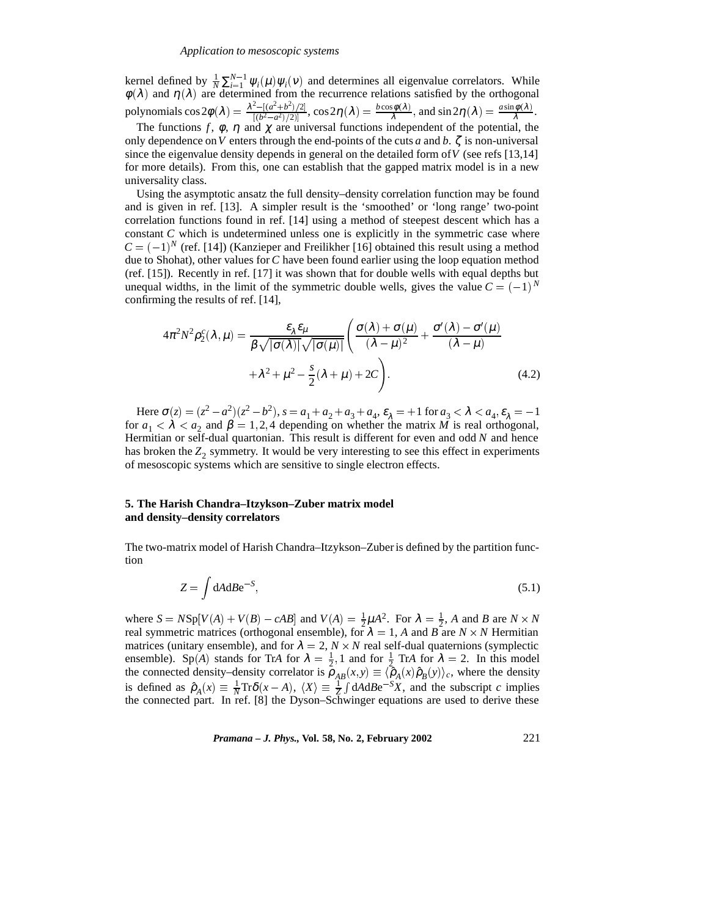kernel defined by  $\frac{1}{N} \sum_{i=1}^{N-1} \psi_i(\mu) \psi_i(\nu)$  and determines all eigenvalue correlators. While  $\phi(\lambda)$  and  $\eta(\lambda)$  are determined from the recurrence relations satisfied by the orthogonal polynomials  $\cos 2\phi(\lambda) = \frac{\lambda^2 - [(\alpha^2 + b^2)/2]}{[(b^2 - a^2)/2]}$ ,  $\cos 2\eta(\lambda) = \frac{b \cos \phi(\lambda)}{\lambda}$ , and  $\sin 2\eta(\lambda) = \frac{a \sin \phi(\lambda)}{\lambda}$ .

The functions  $f$ ,  $\phi$ ,  $\eta$  and  $\chi$  are universal functions independent of the potential, the only dependence on V enters through the end-points of the cuts *a* and *b*.  $\zeta$  is non-universal since the eigenvalue density depends in general on the detailed form of  $V$  (see refs  $[13,14]$ ) for more details). From this, one can establish that the gapped matrix model is in a new universality class.

Using the asymptotic ansatz the full density–density correlation function may be found and is given in ref. [13]. A simpler result is the 'smoothed' or 'long range' two-point correlation functions found in ref. [14] using a method of steepest descent which has a constant *C* which is undetermined unless one is explicitly in the symmetric case where  $C = (-1)^N$  (ref. [14]) (Kanzieper and Freilikher [16] obtained this result using a method due to Shohat), other values for*C* have been found earlier using the loop equation method (ref. [15]). Recently in ref. [17] it was shown that for double wells with equal depths but unequal widths, in the limit of the symmetric double wells, gives the value  $C = (-1)^N$ confirming the results of ref. [14],

$$
4\pi^2 N^2 \rho_2^c(\lambda, \mu) = \frac{\varepsilon_{\lambda} \varepsilon_{\mu}}{\beta \sqrt{|\sigma(\lambda)|} \sqrt{|\sigma(\mu)|}} \left( \frac{\sigma(\lambda) + \sigma(\mu)}{(\lambda - \mu)^2} + \frac{\sigma'(\lambda) - \sigma'(\mu)}{(\lambda - \mu)} + \lambda^2 + \mu^2 - \frac{s}{2}(\lambda + \mu) + 2C \right).
$$
\n(4.2)

Here  $\sigma(z) = (z^2 - a^2)(z^2 - b^2)$ ,  $s = a_1 + a_2 + a_3 + a_4$ ,  $\varepsilon_{\lambda} = +1$  for  $a_3 < \lambda < a_4$ ,  $\varepsilon_{\lambda} = -1$ for  $a_1 < \lambda < a_2$  and  $\beta = 1, 2, 4$  depending on whether the matrix *M* is real orthogonal, Hermitian or self-dual quartonian. This result is different for even and odd *N* and hence has broken the  $Z_2$  symmetry. It would be very interesting to see this effect in experiments of mesoscopic systems which are sensitive to single electron effects.

# **5. The Harish Chandra–Itzykson–Zuber matrix model and density–density correlators**

The two-matrix model of Harish Chandra–Itzykson–Zuber is defined by the partition function

$$
Z = \int dA dBe^{-S},\tag{5.1}
$$

where  $S = N\text{Sp}[V(A) + V(B) - cAB]$  and  $V(A) = \frac{1}{2}\mu A^2$ . For  $\lambda = \frac{1}{2}$ , *A* and *B* are  $N \times N$ real symmetric matrices (orthogonal ensemble), for  $\lambda = 1$ , A and B are  $N \times N$  Hermitian matrices (unitary ensemble), and for  $\lambda = 2$ ,  $N \times N$  real self-dual quaternions (symplectic ensemble). Sp(A) stands for TrA for  $\lambda = \frac{1}{2}$ , 1 and for  $\frac{1}{2}$  TrA for  $\lambda = 2$ . In this model the connected density–density correlator is  $\rho_{AB}(x, y) \equiv \langle \tilde{\rho}_A(x) \rho_B(y) \rangle_c$ , where the density is defined as  $\hat{\rho}_A(x) \equiv \frac{1}{N} \text{Tr} \delta(x - A)$ ,  $\langle X \rangle \equiv \frac{1}{Z} \int dA dBe^{-S}X$ , and the subscript *c* implies the connected part. In ref. [8] the Dyson–Schwinger equations are used to derive these

*Pramana – J. Phys.,* **Vol. 58, No. 2, February 2002** 221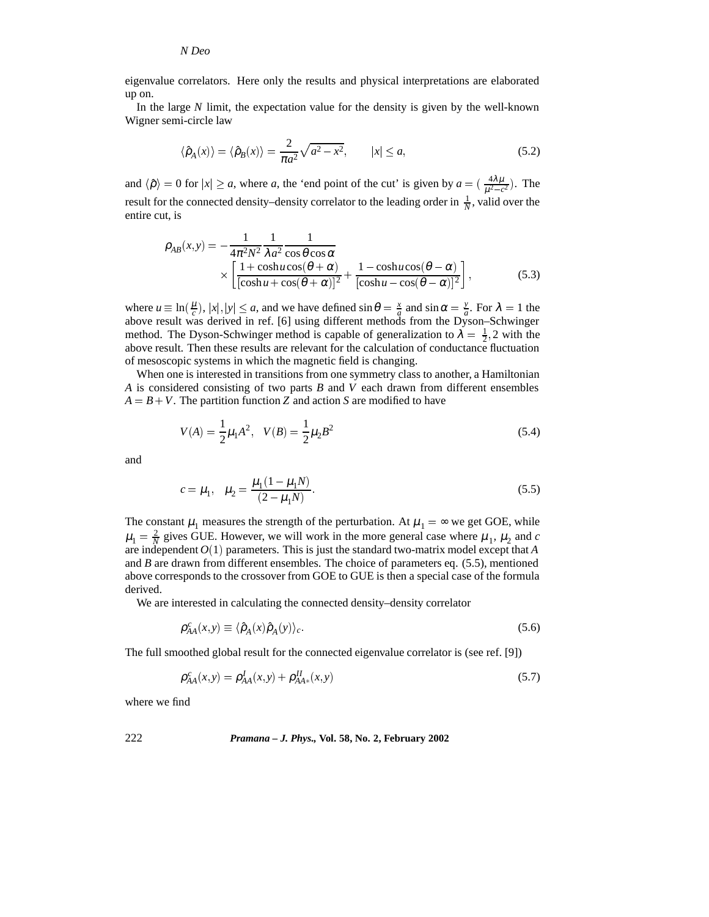eigenvalue correlators. Here only the results and physical interpretations are elaborated up on.

In the large *N* limit, the expectation value for the density is given by the well-known Wigner semi-circle law

$$
\langle \hat{\rho}_A(x) \rangle = \langle \hat{\rho}_B(x) \rangle = \frac{2}{\pi a^2} \sqrt{a^2 - x^2}, \qquad |x| \le a,
$$
\n(5.2)

and  $\langle \hat{\rho} \rangle = 0$  for  $|x| \ge a$ , where *a*, the 'end point of the cut' is given by  $a = (\frac{4\lambda\mu}{\mu^2 - c^2})$ . The result for the connected density–density correlator to the leading order in  $\frac{1}{N}$ , valid over the entire cut, is

$$
\rho_{AB}(x,y) = -\frac{1}{4\pi^2 N^2} \frac{1}{\lambda a^2} \frac{1}{\cos\theta \cos\alpha} \times \left[ \frac{1 + \cosh u \cos(\theta + \alpha)}{[\cosh u + \cos(\theta + \alpha)]^2} + \frac{1 - \cosh u \cos(\theta - \alpha)}{[\cosh u - \cos(\theta - \alpha)]^2} \right],
$$
\n(5.3)

where  $u \equiv \ln(\frac{\mu}{c})$ ,  $|x|, |y| \le a$ , and we have defined  $\sin \theta = \frac{x}{a}$  and  $\sin \alpha = \frac{y}{a}$ . For  $\lambda = 1$  the above result was derived in ref. [6] using different methods from the Dyson-Schwinger method. The Dyson-Schwinger method is capable of generalization to  $\lambda = \frac{1}{2}$ , 2 with the above result. Then these results are relevant for the calculation of conductance fluctuation of mesoscopic systems in which the magnetic field is changing.

When one is interested in transitions from one symmetry class to another, a Hamiltonian *A* is considered consisting of two parts *B* and *V* each drawn from different ensembles  $A = B + V$ . The partition function *Z* and action *S* are modified to have

$$
V(A) = \frac{1}{2}\mu_1 A^2, \quad V(B) = \frac{1}{2}\mu_2 B^2
$$
\n(5.4)

and

$$
c = \mu_1, \quad \mu_2 = \frac{\mu_1 (1 - \mu_1 N)}{(2 - \mu_1 N)}.
$$
\n(5.5)

The constant  $\mu_1$  measures the strength of the perturbation. At  $\mu_1 = \infty$  we get GOE, while  $\mu_1 = \frac{2}{N}$  gives GUE. However, we will work in the more general case where  $\mu_1$ ,  $\mu_2$  and *c* are independent *O*(1) parameters. This is just the standard two-matrix model except that *A* and *B* are drawn from different ensembles. The choice of parameters eq. (5.5), mentioned above corresponds to the crossover from GOE to GUE is then a special case of the formula derived.

We are interested in calculating the connected density–density correlator

$$
\rho_{AA}^c(x, y) \equiv \langle \hat{\rho}_A(x) \hat{\rho}_A(y) \rangle_c. \tag{5.6}
$$

The full smoothed global result for the connected eigenvalue correlator is (see ref. [9])

$$
\rho_{AA}^c(x, y) = \rho_{AA}^I(x, y) + \rho_{AA*}^{II}(x, y)
$$
\n(5.7)

where we find

# 222 *Pramana – J. Phys.,* **Vol. 58, No. 2, February 2002**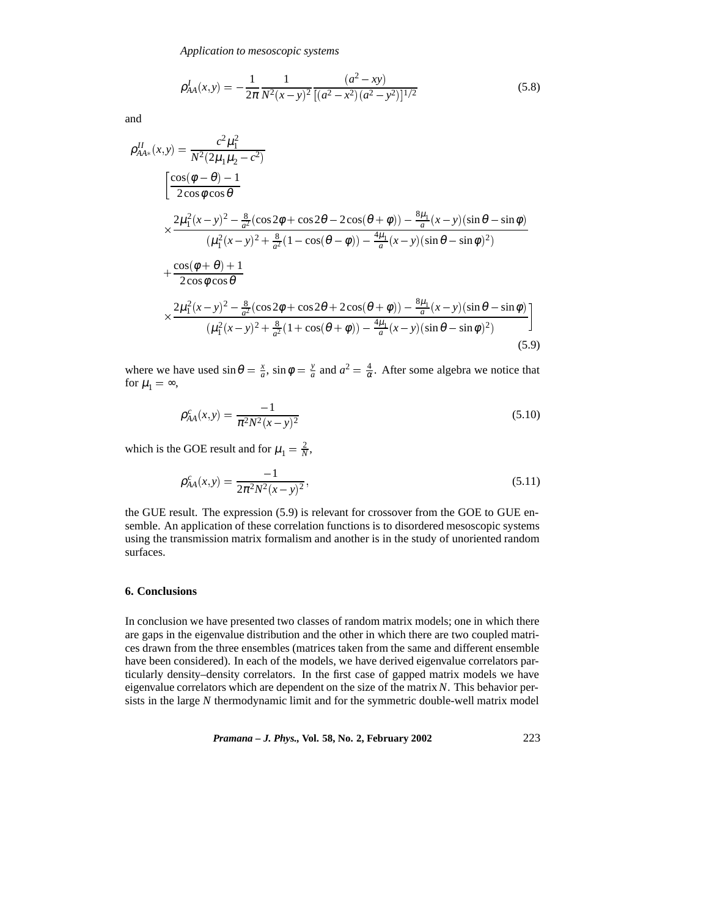*Application to mesoscopic systems*

$$
\rho_{AA}^I(x,y) = -\frac{1}{2\pi} \frac{1}{N^2(x-y)^2} \frac{(a^2 - xy)}{[(a^2 - x^2)(a^2 - y^2)]^{1/2}}
$$
\n(5.8)

and

$$
\rho_{AA*}^{II}(x,y) = \frac{c^2 \mu_1^2}{N^2 (2\mu_1 \mu_2 - c^2)}
$$
\n
$$
\left[ \frac{\cos(\phi - \theta) - 1}{2 \cos \phi \cos \theta} \right]
$$
\n
$$
\times \frac{2\mu_1^2 (x - y)^2 - \frac{8}{a^2} (\cos 2\phi + \cos 2\theta - 2\cos(\theta + \phi)) - \frac{8\mu_1}{a} (x - y)(\sin \theta - \sin \phi)}{(\mu_1^2 (x - y)^2 + \frac{8}{a^2} (1 - \cos(\theta - \phi)) - \frac{4\mu_1}{a} (x - y)(\sin \theta - \sin \phi)^2)}
$$
\n
$$
+ \frac{\cos(\phi + \theta) + 1}{2 \cos \phi \cos \theta}
$$
\n
$$
\times \frac{2\mu_1^2 (x - y)^2 - \frac{8}{a^2} (\cos 2\phi + \cos 2\theta + 2\cos(\theta + \phi)) - \frac{8\mu_1}{a} (x - y)(\sin \theta - \sin \phi)}{(\mu_1^2 (x - y)^2 + \frac{8}{a^2} (1 + \cos(\theta + \phi)) - \frac{4\mu_1}{a} (x - y)(\sin \theta - \sin \phi)^2)}
$$
\n(5.9)

where we have used  $\sin \theta = \frac{x}{a}$ ,  $\sin \phi = \frac{y}{a}$  and  $a^2 = \frac{4}{\alpha}$ . After some algebra we notice that for  $\mu_1 = \infty$ ,

$$
\rho_{AA}^c(x, y) = \frac{-1}{\pi^2 N^2 (x - y)^2} \tag{5.10}
$$

which is the GOE result and for  $\mu_1 = \frac{2}{N}$ ,

$$
\rho_{AA}^c(x, y) = \frac{-1}{2\pi^2 N^2 (x - y)^2},\tag{5.11}
$$

the GUE result. The expression (5.9) is relevant for crossover from the GOE to GUE ensemble. An application of these correlation functions is to disordered mesoscopic systems using the transmission matrix formalism and another is in the study of unoriented random surfaces.

#### **6. Conclusions**

In conclusion we have presented two classes of random matrix models; one in which there are gaps in the eigenvalue distribution and the other in which there are two coupled matrices drawn from the three ensembles (matrices taken from the same and different ensemble have been considered). In each of the models, we have derived eigenvalue correlators particularly density–density correlators. In the first case of gapped matrix models we have eigenvalue correlators which are dependent on the size of the matrix*N*. This behavior persists in the large *N* thermodynamic limit and for the symmetric double-well matrix model

*Pramana – J. Phys.,* **Vol. 58, No. 2, February 2002** 223